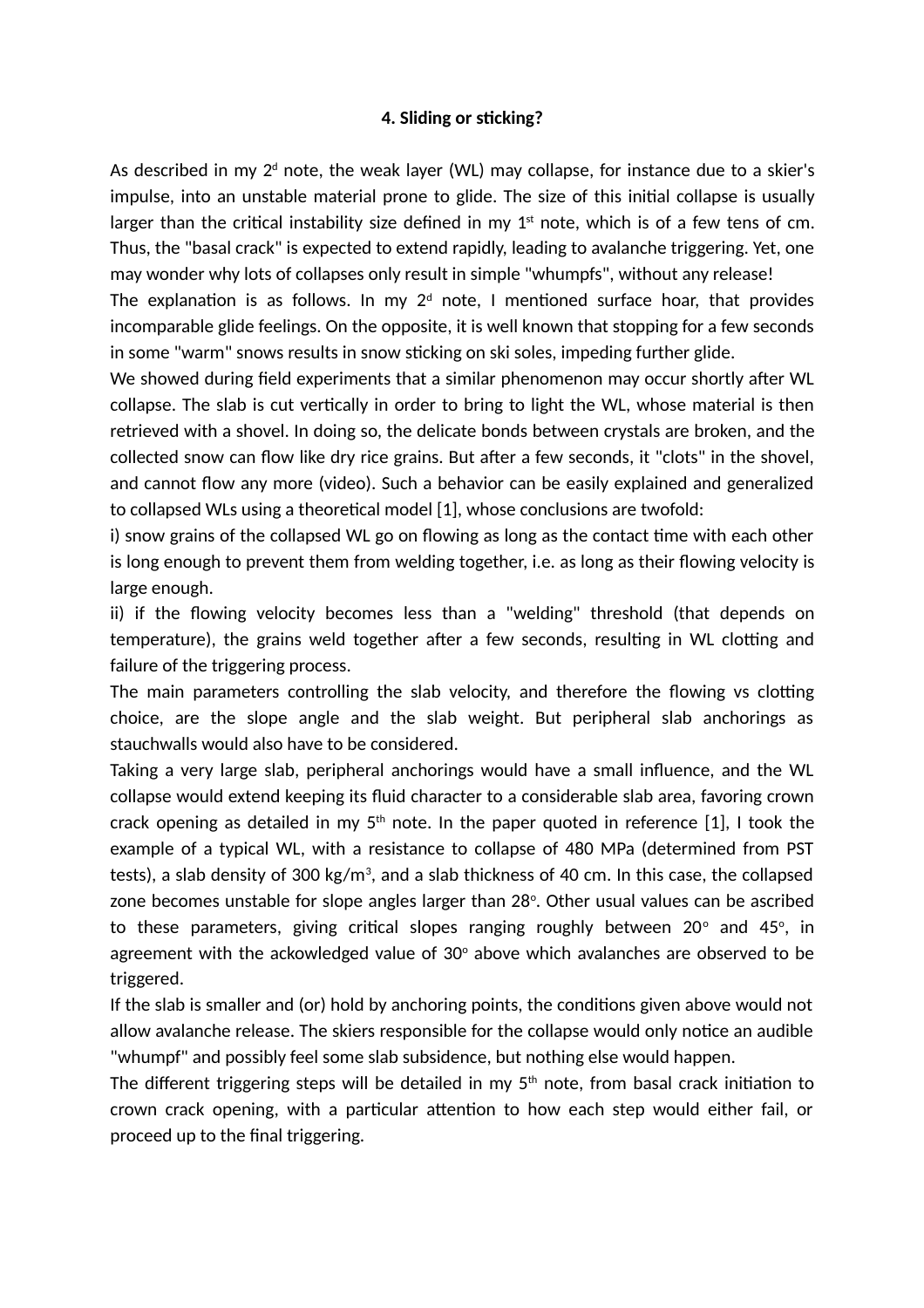## **4. Sliding or sticking?**

As described in my 2 $^{\text{\tiny d}}$  note, the weak layer (WL) may collapse, for instance due to a skier's impulse, into an unstable material prone to glide. The size of this initial collapse is usually larger than the critical instability size defined in my  $1<sup>st</sup>$  note, which is of a few tens of cm. Thus, the "basal crack" is expected to extend rapidly, leading to avalanche triggering. Yet, one may wonder why lots of collapses only result in simple "whumpfs", without any release!

The explanation is as follows. In my  $2^d$  note, I mentioned surface hoar, that provides incomparable glide feelings. On the opposite, it is well known that stopping for a few seconds in some "warm" snows results in snow sticking on ski soles, impeding further glide.

We showed during field experiments that a similar phenomenon may occur shortly after WL collapse. The slab is cut vertically in order to bring to light the WL, whose material is then retrieved with a shovel. In doing so, the delicate bonds between crystals are broken, and the collected snow can flow like dry rice grains. But after a few seconds, it "clots" in the shovel, and cannot flow any more (video). Such a behavior can be easily explained and generalized to collapsed WLs using a theoretical model [1], whose conclusions are twofold:

i) snow grains of the collapsed WL go on flowing as long as the contact time with each other is long enough to prevent them from welding together, i.e. as long as their flowing velocity is large enough.

ii) if the flowing velocity becomes less than a "welding" threshold (that depends on temperature), the grains weld together after a few seconds, resulting in WL clotting and failure of the triggering process.

The main parameters controlling the slab velocity, and therefore the flowing vs clotting choice, are the slope angle and the slab weight. But peripheral slab anchorings as stauchwalls would also have to be considered.

Taking a very large slab, peripheral anchorings would have a small influence, and the WL collapse would extend keeping its fluid character to a considerable slab area, favoring crown crack opening as detailed in my  $5<sup>th</sup>$  note. In the paper quoted in reference [1], I took the example of a typical WL, with a resistance to collapse of 480 MPa (determined from PST tests), a slab density of 300 kg/m $^3$ , and a slab thickness of 40 cm. In this case, the collapsed zone becomes unstable for slope angles larger than 28°. Other usual values can be ascribed to these parameters, giving critical slopes ranging roughly between 20 $^{\circ}$  and 45 $^{\circ}$ , in agreement with the ackowledged value of 30 $^{\circ}$  above which avalanches are observed to be triggered.

If the slab is smaller and (or) hold by anchoring points, the conditions given above would not allow avalanche release. The skiers responsible for the collapse would only notice an audible "whumpf" and possibly feel some slab subsidence, but nothing else would happen.

The different triggering steps will be detailed in my  $5<sup>th</sup>$  note, from basal crack initiation to crown crack opening, with a particular attention to how each step would either fail, or proceed up to the final triggering.